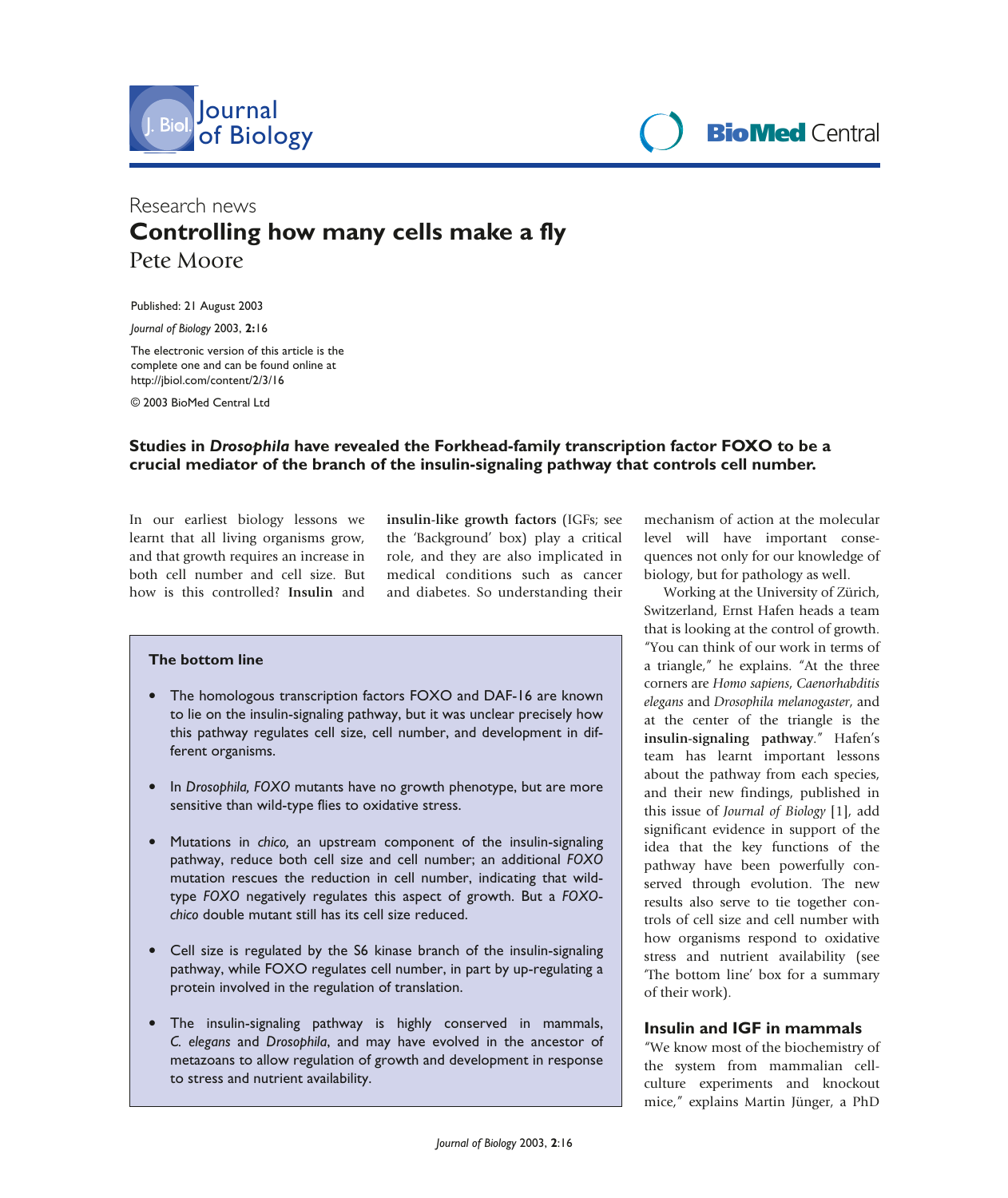

**Sournal**<br> **BioMed** Central **Contral Central Central** 

# Research news **Controlling how many cells make a fly** Pete Moore

Published: 21 August 2003

*Journal of Biology* 2003, **2:**16

The electronic version of this article is the complete one and can be found online at http://jbiol.com/content/2/3/16

© 2003 BioMed Central Ltd

# **Studies in** *Drosophila* **have revealed the Forkhead-family transcription factor FOXO to be a crucial mediator of the branch of the insulin-signaling pathway that controls cell number.**

In our earliest biology lessons we learnt that all living organisms grow, and that growth requires an increase in both cell number and cell size. But how is this controlled? **Insulin** and

**insulin-like growth factors** (IGFs; see the 'Background' box) play a critical role, and they are also implicated in medical conditions such as cancer and diabetes. So understanding their

## **The bottom line**

- **•** The homologous transcription factors FOXO and DAF-16 are known to lie on the insulin-signaling pathway, but it was unclear precisely how this pathway regulates cell size, cell number, and development in different organisms.
- **•** In *Drosophila, FOXO* mutants have no growth phenotype, but are more sensitive than wild-type flies to oxidative stress.
- **•** Mutations in *chico,* an upstream component of the insulin-signaling pathway, reduce both cell size and cell number; an additional *FOXO* mutation rescues the reduction in cell number, indicating that wildtype *FOXO* negatively regulates this aspect of growth. But a *FOXOchico* double mutant still has its cell size reduced.
- **•** Cell size is regulated by the S6 kinase branch of the insulin-signaling pathway, while FOXO regulates cell number, in part by up-regulating a protein involved in the regulation of translation.
- **•** The insulin-signaling pathway is highly conserved in mammals, *C. elegans* and *Drosophila*, and may have evolved in the ancestor of metazoans to allow regulation of growth and development in response to stress and nutrient availability.

mechanism of action at the molecular level will have important consequences not only for our knowledge of biology, but for pathology as well.

Working at the University of Zürich, Switzerland, Ernst Hafen heads a team that is looking at the control of growth. "You can think of our work in terms of a triangle," he explains. "At the three corners are *Homo sapiens*, *Caenorhabditis elegans* and *Drosophila melanogaster*, and at the center of the triangle is the **insulin-signaling pathway**." Hafen's team has learnt important lessons about the pathway from each species, and their new findings, published in this issue of *Journal of Biology* [1], add significant evidence in support of the idea that the key functions of the pathway have been powerfully conserved through evolution. The new results also serve to tie together controls of cell size and cell number with how organisms respond to oxidative stress and nutrient availability (see 'The bottom line' box for a summary of their work).

## **Insulin and IGF in mammals**

"We know most of the biochemistry of the system from mammalian cellculture experiments and knockout mice," explains Martin Jünger, a PhD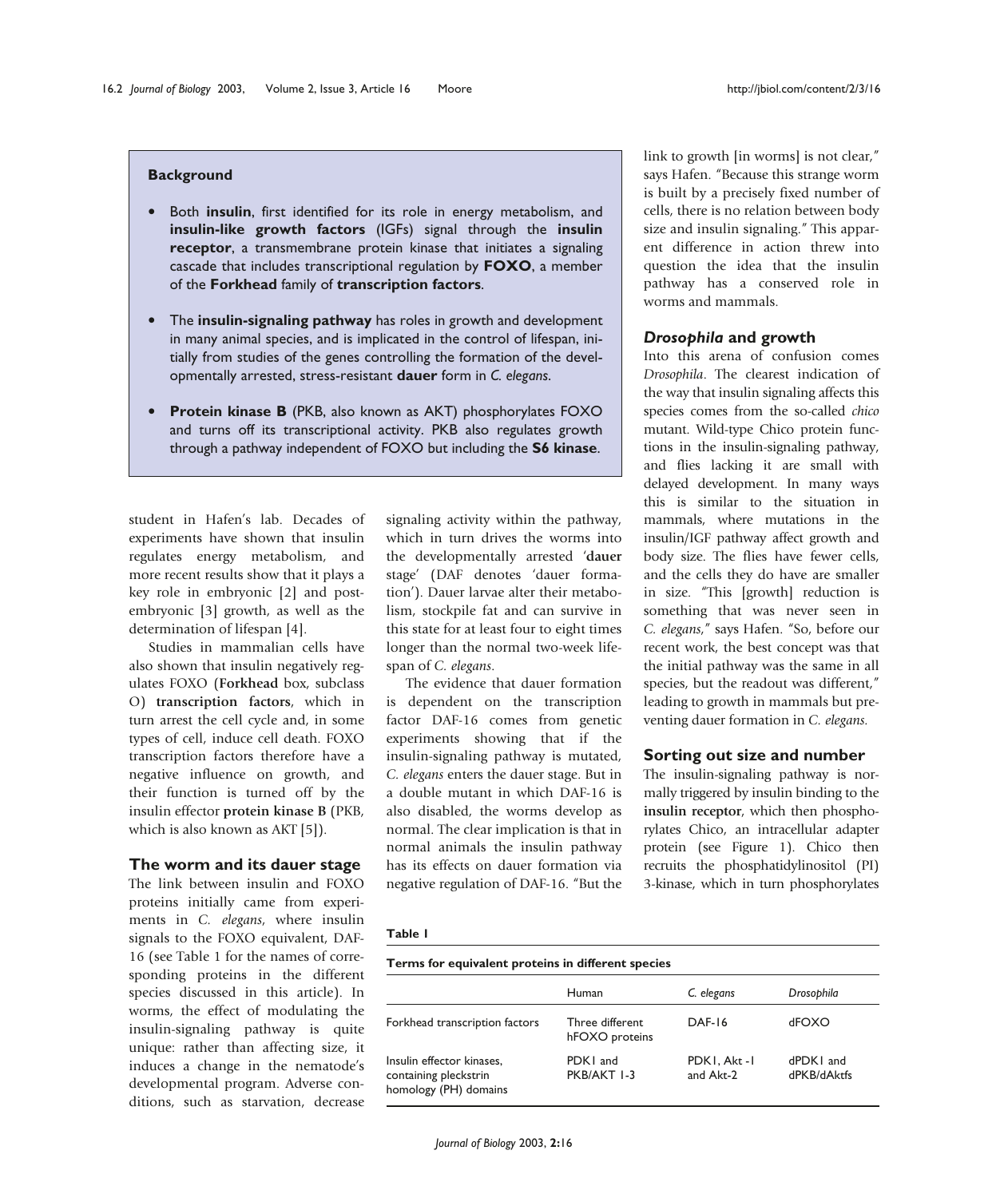## **Background**

- **•** Both **insulin**, first identified for its role in energy metabolism, and **insulin-like growth factors** (IGFs) signal through the **insulin receptor**, a transmembrane protein kinase that initiates a signaling cascade that includes transcriptional regulation by **FOXO**, a member of the **Forkhead** family of **transcription factors**.
- **•** The **insulin-signaling pathway** has roles in growth and development in many animal species, and is implicated in the control of lifespan, initially from studies of the genes controlling the formation of the developmentally arrested, stress-resistant **dauer** form in *C. elegans*.
- **• Protein kinase B** (PKB, also known as AKT) phosphorylates FOXO and turns off its transcriptional activity. PKB also regulates growth through a pathway independent of FOXO but including the **S6 kinase**.

student in Hafen's lab. Decades of experiments have shown that insulin regulates energy metabolism, and more recent results show that it plays a key role in embryonic [2] and postembryonic [3] growth, as well as the determination of lifespan [4].

Studies in mammalian cells have also shown that insulin negatively regulates FOXO (**Forkhead** box, subclass O) **transcription factors**, which in turn arrest the cell cycle and, in some types of cell, induce cell death. FOXO transcription factors therefore have a negative influence on growth, and their function is turned off by the insulin effector **protein kinase B** (PKB, which is also known as AKT [5]).

#### **The worm and its dauer stage**

The link between insulin and FOXO proteins initially came from experiments in *C. elegans*, where insulin signals to the FOXO equivalent, DAF-16 (see Table 1 for the names of corresponding proteins in the different species discussed in this article). In worms, the effect of modulating the insulin-signaling pathway is quite unique: rather than affecting size, it induces a change in the nematode's developmental program. Adverse conditions, such as starvation, decrease signaling activity within the pathway, which in turn drives the worms into the developmentally arrested '**dauer** stage' (DAF denotes 'dauer formation'). Dauer larvae alter their metabolism, stockpile fat and can survive in this state for at least four to eight times longer than the normal two-week lifespan of *C. elegans*.

The evidence that dauer formation is dependent on the transcription factor DAF-16 comes from genetic experiments showing that if the insulin-signaling pathway is mutated, *C. elegans* enters the dauer stage. But in a double mutant in which DAF-16 is also disabled, the worms develop as normal. The clear implication is that in normal animals the insulin pathway has its effects on dauer formation via negative regulation of DAF-16. "But the link to growth [in worms] is not clear," says Hafen. "Because this strange worm is built by a precisely fixed number of cells, there is no relation between body size and insulin signaling." This apparent difference in action threw into question the idea that the insulin pathway has a conserved role in worms and mammals.

## *Drosophila* **and growth**

Into this arena of confusion comes *Drosophila*. The clearest indication of the way that insulin signaling affects this species comes from the so-called *chico* mutant. Wild-type Chico protein functions in the insulin-signaling pathway, and flies lacking it are small with delayed development. In many ways this is similar to the situation in mammals, where mutations in the insulin/IGF pathway affect growth and body size. The flies have fewer cells, and the cells they do have are smaller in size. "This [growth] reduction is something that was never seen in *C. elegans*," says Hafen. "So, before our recent work, the best concept was that the initial pathway was the same in all species, but the readout was different," leading to growth in mammals but preventing dauer formation in *C. elegans.*

## **Sorting out size and number**

The insulin-signaling pathway is normally triggered by insulin binding to the **insulin receptor**, which then phosphorylates Chico, an intracellular adapter protein (see Figure 1). Chico then recruits the phosphatidylinositol (PI) 3-kinase, which in turn phosphorylates

#### **Table 1**

#### **Terms for equivalent proteins in different species**

|                                                                             | Human                             | C. elegans                | Drosophila               |
|-----------------------------------------------------------------------------|-----------------------------------|---------------------------|--------------------------|
| Forkhead transcription factors                                              | Three different<br>hFOXO proteins | DAF-16                    | dFOXO                    |
| Insulin effector kinases.<br>containing pleckstrin<br>homology (PH) domains | PDK1 and<br>PKB/AKT 1-3           | PDKI, Akt -I<br>and Akt-2 | dPDK1 and<br>dPKB/dAktfs |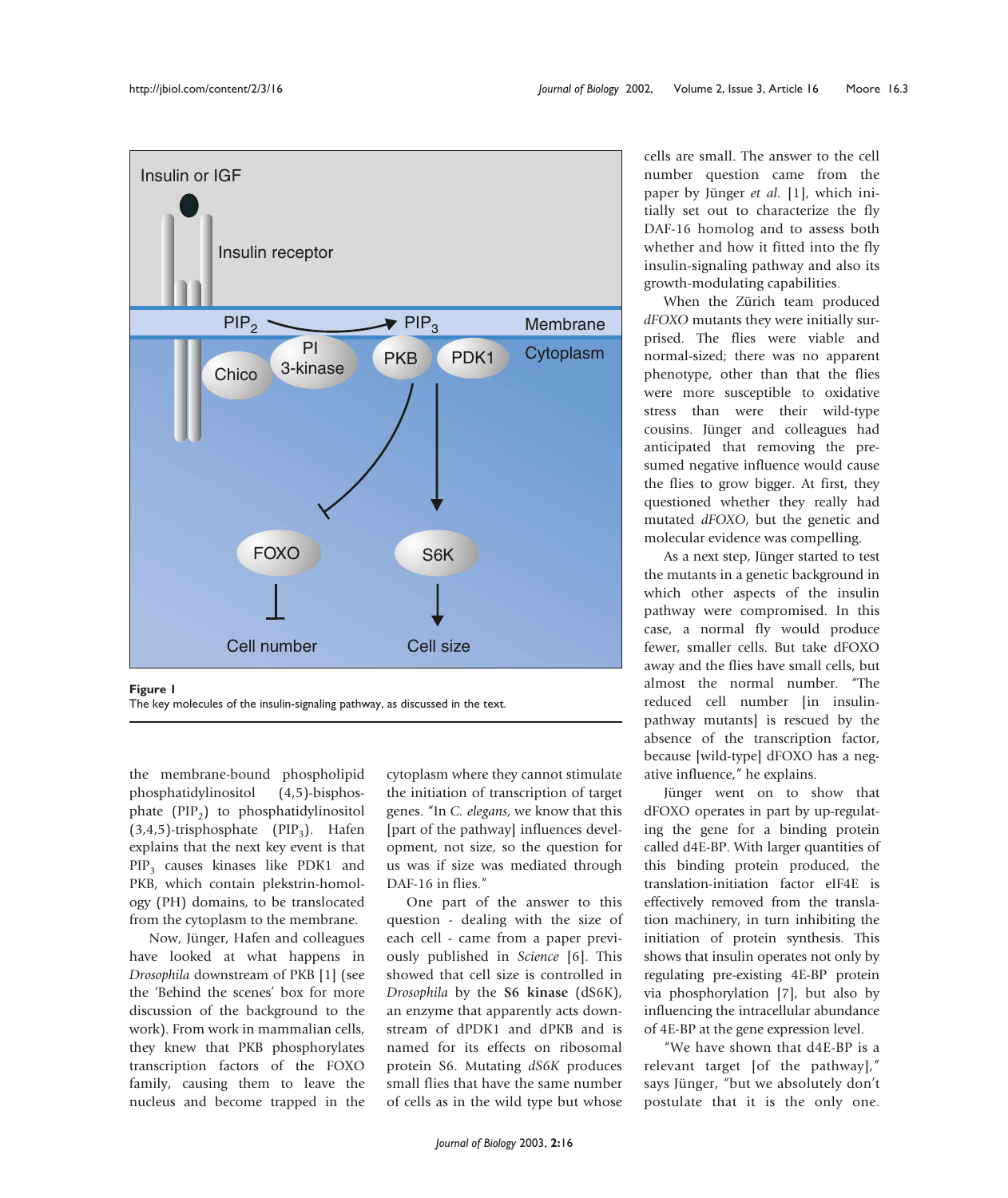

**Figure 1** The key molecules of the insulin-signaling pathway, as discussed in the text.

the membrane-bound phospholipid phosphatidylinositol (4,5)-bisphosphate  $(PIP_2)$  to phosphatidylinositol  $(3,4,5)$ -trisphosphate (PIP<sub>3</sub>). Hafen explains that the next key event is that PIP<sub>3</sub> causes kinases like PDK1 and PKB, which contain plekstrin-homology (PH) domains, to be translocated from the cytoplasm to the membrane.

Now, Jünger, Hafen and colleagues have looked at what happens in *Drosophila* downstream of PKB [1] (see the 'Behind the scenes' box for more discussion of the background to the work). From work in mammalian cells, they knew that PKB phosphorylates transcription factors of the FOXO family, causing them to leave the nucleus and become trapped in the cytoplasm where they cannot stimulate the initiation of transcription of target genes. "In *C. elegans*, we know that this [part of the pathway] influences development, not size, so the question for us was if size was mediated through DAF-16 in flies."

One part of the answer to this question - dealing with the size of each cell - came from a paper previously published in *Science* [6]. This showed that cell size is controlled in *Drosophila* by the **S6 kinase** (dS6K), an enzyme that apparently acts downstream of dPDK1 and dPKB and is named for its effects on ribosomal protein S6. Mutating *dS6K* produces small flies that have the same number of cells as in the wild type but whose cells are small. The answer to the cell number question came from the paper by Jünger *et al.* [1], which initially set out to characterize the fly DAF-16 homolog and to assess both whether and how it fitted into the fly insulin-signaling pathway and also its growth-modulating capabilities.

When the Zürich team produced *dFOXO* mutants they were initially surprised. The flies were viable and normal-sized; there was no apparent phenotype, other than that the flies were more susceptible to oxidative stress than were their wild-type cousins. Jünger and colleagues had anticipated that removing the presumed negative influence would cause the flies to grow bigger. At first, they questioned whether they really had mutated *dFOXO*, but the genetic and molecular evidence was compelling.

As a next step, Jünger started to test the mutants in a genetic background in which other aspects of the insulin pathway were compromised. In this case, a normal fly would produce fewer, smaller cells. But take dFOXO away and the flies have small cells, but almost the normal number. "The reduced cell number [in insulinpathway mutants] is rescued by the absence of the transcription factor, because [wild-type] dFOXO has a negative influence," he explains.

Jünger went on to show that dFOXO operates in part by up-regulating the gene for a binding protein called d4E-BP. With larger quantities of this binding protein produced, the translation-initiation factor eIF4E is effectively removed from the translation machinery, in turn inhibiting the initiation of protein synthesis. This shows that insulin operates not only by regulating pre-existing 4E-BP protein via phosphorylation [7], but also by influencing the intracellular abundance of 4E-BP at the gene expression level.

"We have shown that d4E-BP is a relevant target [of the pathway]," says Jünger, "but we absolutely don't postulate that it is the only one.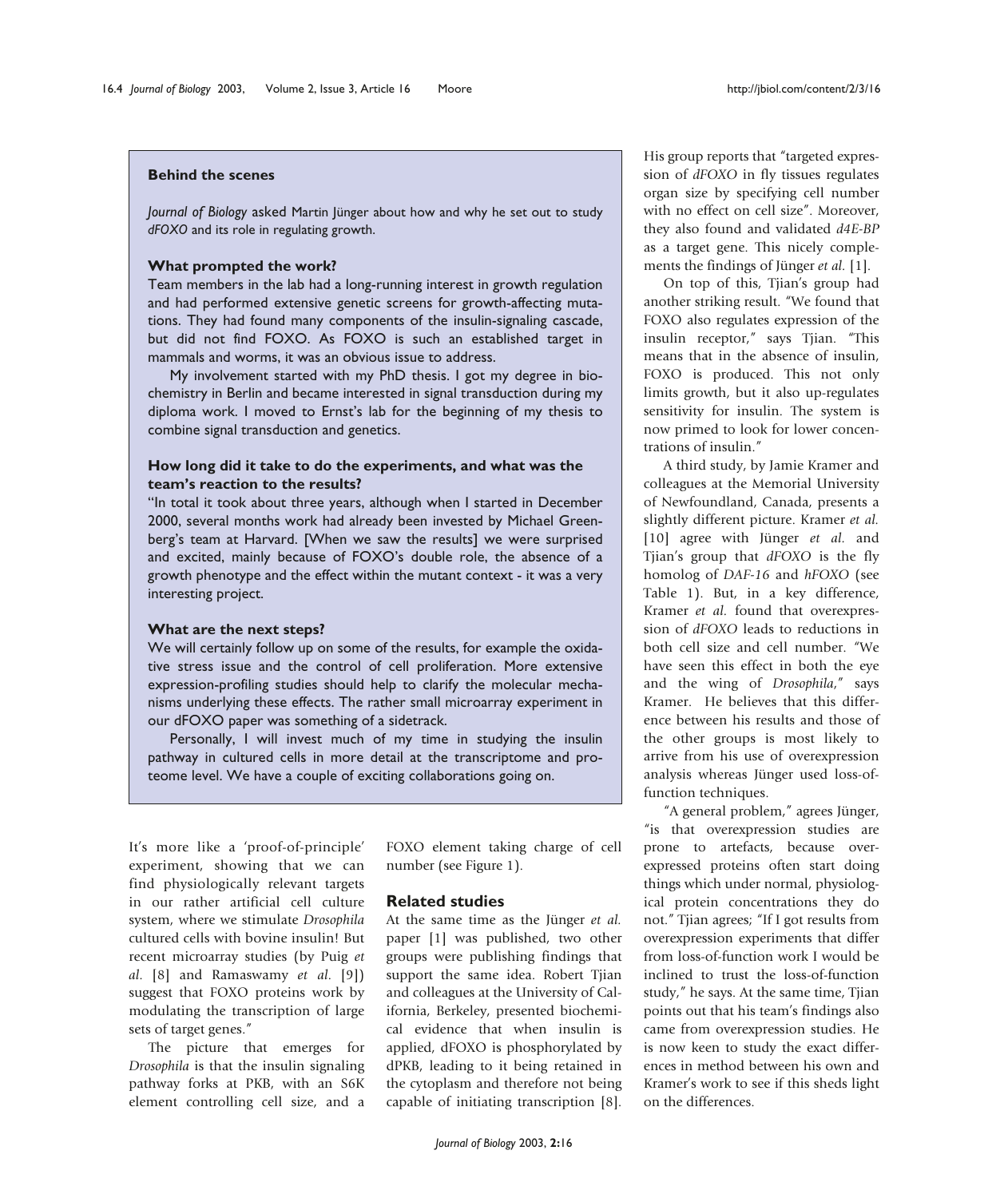## **Behind the scenes**

*Journal of Biology* asked Martin Jünger about how and why he set out to study *dFOXO* and its role in regulating growth.

#### **What prompted the work?**

Team members in the lab had a long-running interest in growth regulation and had performed extensive genetic screens for growth-affecting mutations. They had found many components of the insulin-signaling cascade, but did not find FOXO. As FOXO is such an established target in mammals and worms, it was an obvious issue to address.

My involvement started with my PhD thesis. I got my degree in biochemistry in Berlin and became interested in signal transduction during my diploma work. I moved to Ernst's lab for the beginning of my thesis to combine signal transduction and genetics.

## **How long did it take to do the experiments, and what was the team's reaction to the results?**

"In total it took about three years, although when I started in December 2000, several months work had already been invested by Michael Greenberg's team at Harvard. [When we saw the results] we were surprised and excited, mainly because of FOXO's double role, the absence of a growth phenotype and the effect within the mutant context - it was a very interesting project.

#### **What are the next steps?**

We will certainly follow up on some of the results, for example the oxidative stress issue and the control of cell proliferation. More extensive expression-profiling studies should help to clarify the molecular mechanisms underlying these effects. The rather small microarray experiment in our dFOXO paper was something of a sidetrack.

Personally, I will invest much of my time in studying the insulin pathway in cultured cells in more detail at the transcriptome and proteome level. We have a couple of exciting collaborations going on.

It's more like a 'proof-of-principle' experiment, showing that we can find physiologically relevant targets in our rather artificial cell culture system, where we stimulate *Drosophila* cultured cells with bovine insulin! But recent microarray studies (by Puig *et al*. [8] and Ramaswamy *et al*. [9]) suggest that FOXO proteins work by modulating the transcription of large sets of target genes."

The picture that emerges for *Drosophila* is that the insulin signaling pathway forks at PKB, with an S6K element controlling cell size, and a FOXO element taking charge of cell number (see Figure 1).

## **Related studies**

At the same time as the Jünger *et al.* paper [1] was published, two other groups were publishing findings that support the same idea. Robert Tjian and colleagues at the University of California, Berkeley, presented biochemical evidence that when insulin is applied, dFOXO is phosphorylated by dPKB, leading to it being retained in the cytoplasm and therefore not being capable of initiating transcription [8]. His group reports that "targeted expression of *dFOXO* in fly tissues regulates organ size by specifying cell number with no effect on cell size". Moreover, they also found and validated *d4E-BP* as a target gene. This nicely complements the findings of Jünger *et al.* [1].

On top of this, Tjian's group had another striking result. "We found that FOXO also regulates expression of the insulin receptor," says Tjian. "This means that in the absence of insulin, FOXO is produced. This not only limits growth, but it also up-regulates sensitivity for insulin. The system is now primed to look for lower concentrations of insulin."

A third study, by Jamie Kramer and colleagues at the Memorial University of Newfoundland, Canada, presents a slightly different picture. Kramer *et al.* [10] agree with Jünger *et al.* and Tjian's group that *dFOXO* is the fly homolog of *DAF-16* and *hFOXO* (see Table 1). But, in a key difference, Kramer *et al.* found that overexpression of *dFOXO* leads to reductions in both cell size and cell number. "We have seen this effect in both the eye and the wing of *Drosophila*," says Kramer. He believes that this difference between his results and those of the other groups is most likely to arrive from his use of overexpression analysis whereas Jünger used loss-offunction techniques.

"A general problem," agrees Jünger, "is that overexpression studies are prone to artefacts, because overexpressed proteins often start doing things which under normal, physiological protein concentrations they do not." Tjian agrees; "If I got results from overexpression experiments that differ from loss-of-function work I would be inclined to trust the loss-of-function study," he says. At the same time, Tjian points out that his team's findings also came from overexpression studies. He is now keen to study the exact differences in method between his own and Kramer's work to see if this sheds light on the differences.